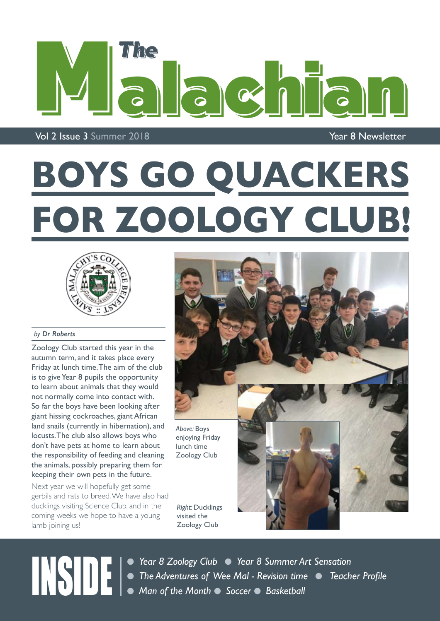

Vol 2 Issue 3 Summer 2018 Year 8 Newsletter

# **BOYS GO QUACKERS FOR ZOOLOGY CLUB!**



#### *by Dr Roberts*

Zoology Club started this year in the autumn term, and it takes place every Friday at lunch time. The aim of the club is to give Year 8 pupils the opportunity to learn about animals that they would not normally come into contact with. So far the boys have been looking after giant hissing cockroaches, giant African land snails (currently in hibernation), and locusts. The club also allows boys who don't have pets at home to learn about the responsibility of feeding and cleaning the animals, possibly preparing them for keeping their own pets in the future.

Next year we will hopefully get some gerbils and rats to breed. We have also had ducklings visiting Science Club, and in the coming weeks we hope to have a young lamb joining us!

lunch time Zoology Club

*Right:* Ducklings visited the Zoology Club



**INSIDE lear 8 Zoology Club** • Year 8 Summer Art Sensation<br>
• The Adventures of Wee Mal - Revision time<br>
• Man of the Month • Soccer • Basketball <sup>l</sup>*The Adventures of Wee Mal - Revision time*<sup>l</sup>*Teacher Profile*  **• Man of the Month • Soccer • Basketball**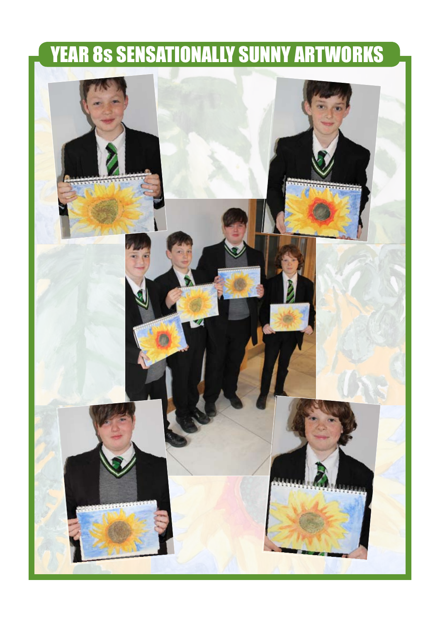## **YEAR 8s SENSATIONALLY SUNNY ARTWORKS**

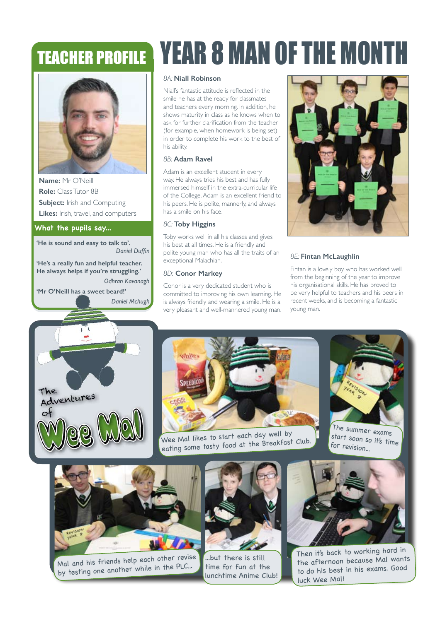### TEACHER PROFILE



**Name:** Mr O'Neill **Role:** Class Tutor 8B **Subject:** Irish and Computing **Likes:** Irish, travel, and computers

#### **What the pupils say...**

**'He is sound and easy to talk to'.**  *Daniel Duffin*  **'He's a really fun and helpful teacher. He always helps if you're struggling.'** *Odhran Kavanagh* **'Mr O'Neill has a sweet beard!'** *Daniel Mchugh*

## YEAR 8 MAN OF THE MONTH

#### *8A:* **Niall Robinson**

Niall's fantastic attitude is reflected in the smile he has at the ready for classmates and teachers every morning. In addition, he shows maturity in class as he knows when to ask for further clarification from the teacher (for example, when homework is being set) in order to complete his work to the best of his ability.

#### *8B:* **Adam Ravel**

Adam is an excellent student in every way. He always tries his best and has fully immersed himself in the extra-curricular life of the College. Adam is an excellent friend to his peers. He is polite, mannerly, and always has a smile on his face.

#### *8C:* **Toby Higgins**

Toby works well in all his classes and gives his best at all times. He is a friendly and polite young man who has all the traits of an exceptional Malachian.

#### *8D:* **Conor Markey**

Conor is a very dedicated student who is committed to improving his own learning. He is always friendly and wearing a smile. He is a very pleasant and well-mannered young man.



#### *8E:* **Fintan McLaughlin**

Fintan is a lovely boy who has worked well from the beginning of the year to improve his organisational skills. He has proved to be very helpful to teachers and his peers in recent weeks, and is becoming a fantastic young man.





Wee Mal likes to start each day well by eating some tasty food at the Breakfast Club.



The summer exams start soon so it's time for revision...



Mal and his friends help each other revise by testing one another while in the PLC...



...but there is still time for fun at the lunchtime Anime Club!



Then it's back to working hard in the afternoon because Mal wants to do his best in his exams. Good luck Wee Mal!